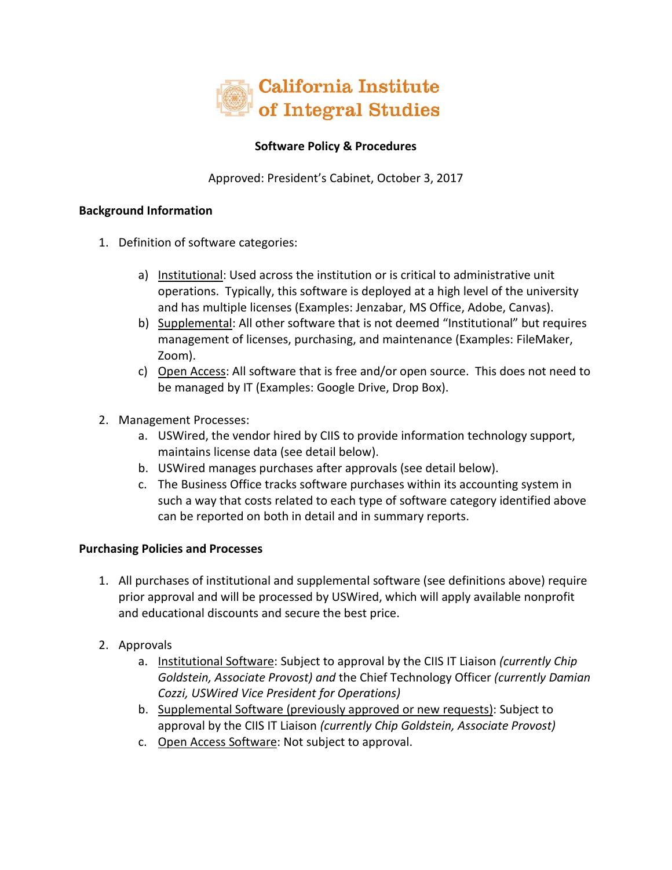

## **Software Policy & Procedures**

Approved: President's Cabinet, October 3, 2017

## **Background Information**

- 1. Definition of software categories:
	- a) Institutional: Used across the institution or is critical to administrative unit operations. Typically, this software is deployed at a high level of the university and has multiple licenses (Examples: Jenzabar, MS Office, Adobe, Canvas).
	- b) Supplemental: All other software that is not deemed "Institutional" but requires management of licenses, purchasing, and maintenance (Examples: FileMaker, Zoom).
	- c) Open Access: All software that is free and/or open source. This does not need to be managed by IT (Examples: Google Drive, Drop Box).
- 2. Management Processes:
	- a. USWired, the vendor hired by CIIS to provide information technology support, maintains license data (see detail below).
	- b. USWired manages purchases after approvals (see detail below).
	- c. The Business Office tracks software purchases within its accounting system in such a way that costs related to each type of software category identified above can be reported on both in detail and in summary reports.

## **Purchasing Policies and Processes**

- 1. All purchases of institutional and supplemental software (see definitions above) require prior approval and will be processed by USWired, which will apply available nonprofit and educational discounts and secure the best price.
- 2. Approvals
	- a. Institutional Software: Subject to approval by the CIIS IT Liaison *(currently Chip Goldstein, Associate Provost) and* the Chief Technology Officer *(currently Damian Cozzi, USWired Vice President for Operations)*
	- b. Supplemental Software (previously approved or new requests): Subject to approval by the CIIS IT Liaison *(currently Chip Goldstein, Associate Provost)*
	- c. Open Access Software: Not subject to approval.